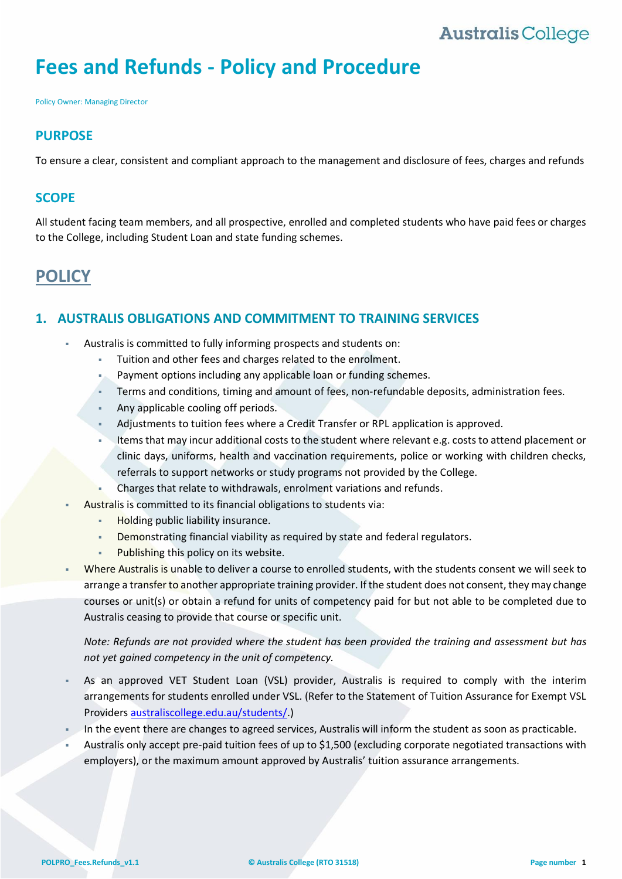## **Australis College**

# **Fees and Refunds - Policy and Procedure**

Policy Owner: Managing Director

## **PURPOSE**

To ensure a clear, consistent and compliant approach to the management and disclosure of fees, charges and refunds

## **SCOPE**

All student facing team members, and all prospective, enrolled and completed students who have paid fees or charges to the College, including Student Loan and state funding schemes.

## **POLICY**

## **1. AUSTRALIS OBLIGATIONS AND COMMITMENT TO TRAINING SERVICES**

- Australis is committed to fully informing prospects and students on:
	- Tuition and other fees and charges related to the enrolment.
	- Payment options including any applicable loan or funding schemes.
	- Terms and conditions, timing and amount of fees, non-refundable deposits, administration fees.
	- Any applicable cooling off periods.
	- Adjustments to tuition fees where a Credit Transfer or RPL application is approved.
	- Items that may incur additional costs to the student where relevant e.g. costs to attend placement or clinic days, uniforms, health and vaccination requirements, police or working with children checks, referrals to support networks or study programs not provided by the College.
	- Charges that relate to withdrawals, enrolment variations and refunds.
- Australis is committed to its financial obligations to students via:
	- **Holding public liability insurance.**
	- **Demonstrating financial viability as required by state and federal regulators.**
	- Publishing this policy on its website.
- Where Australis is unable to deliver a course to enrolled students, with the students consent we will seek to arrange a transfer to another appropriate training provider. If the student does not consent, they may change courses or unit(s) or obtain a refund for units of competency paid for but not able to be completed due to Australis ceasing to provide that course or specific unit.

*Note: Refunds are not provided where the student has been provided the training and assessment but has not yet gained competency in the unit of competency.*

- As an approved VET Student Loan (VSL) provider, Australis is required to comply with the interim arrangements for students enrolled under VSL. (Refer to the Statement of Tuition Assurance for Exempt VSL Providers [australiscollege.edu.au/students/.](https://www.australiscollege.edu.au/students/))
- In the event there are changes to agreed services, Australis will inform the student as soon as practicable.
- Australis only accept pre-paid tuition fees of up to \$1,500 (excluding corporate negotiated transactions with employers), or the maximum amount approved by Australis' tuition assurance arrangements.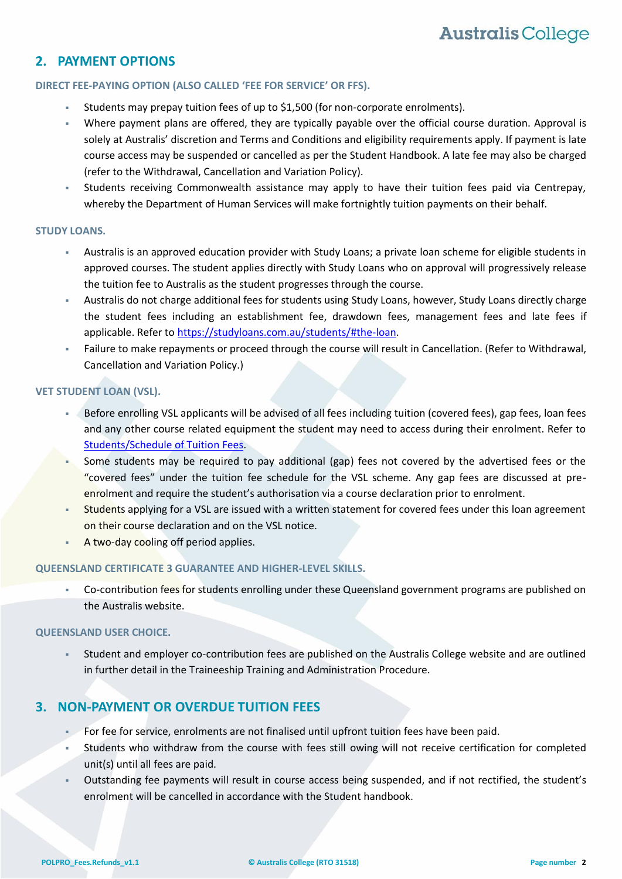## **2. PAYMENT OPTIONS**

#### **DIRECT FEE-PAYING OPTION (ALSO CALLED 'FEE FOR SERVICE' OR FFS).**

- Students may prepay tuition fees of up to \$1,500 (for non-corporate enrolments).
- Where payment plans are offered, they are typically payable over the official course duration. Approval is solely at Australis' discretion and Terms and Conditions and eligibility requirements apply. If payment is late course access may be suspended or cancelled as per the Student Handbook. A late fee may also be charged (refer to the Withdrawal, Cancellation and Variation Policy).
- Students receiving Commonwealth assistance may apply to have their tuition fees paid via Centrepay, whereby the Department of Human Services will make fortnightly tuition payments on their behalf.

#### **STUDY LOANS.**

- Australis is an approved education provider with Study Loans; a private loan scheme for eligible students in approved courses. The student applies directly with Study Loans who on approval will progressively release the tuition fee to Australis as the student progresses through the course.
- Australis do not charge additional fees for students using Study Loans, however, Study Loans directly charge the student fees including an establishment fee, drawdown fees, management fees and late fees if applicable. Refer to [https://studyloans.com.au/students/#the-loan.](https://studyloans.com.au/students/#the-loan)
- Failure to make repayments or proceed through the course will result in Cancellation. (Refer to Withdrawal, Cancellation and Variation Policy.)

#### **VET STUDENT LOAN (VSL).**

- Before enrolling VSL applicants will be advised of all fees including tuition (covered fees), gap fees, loan fees and any other course related equipment the student may need to access during their enrolment. Refer to [Students/Schedule of Tuition Fees.](http://www.australiscollege.edu.au/students)
- Some students may be required to pay additional (gap) fees not covered by the advertised fees or the "covered fees" under the tuition fee schedule for the VSL scheme. Any gap fees are discussed at preenrolment and require the student's authorisation via a course declaration prior to enrolment.
- Students applying for a VSL are issued with a written statement for covered fees under this loan agreement on their course declaration and on the VSL notice.
- A two-day cooling off period applies.

#### **QUEENSLAND CERTIFICATE 3 GUARANTEE AND HIGHER-LEVEL SKILLS.**

▪ Co-contribution fees for students enrolling under these Queensland government programs are published on the Australis website.

#### **QUEENSLAND USER CHOICE.**

Student and employer co-contribution fees are published on the Australis College website and are outlined in further detail in the Traineeship Training and Administration Procedure.

## **3. NON-PAYMENT OR OVERDUE TUITION FEES**

- **For fee for service, enrolments are not finalised until upfront tuition fees have been paid.**
- Students who withdraw from the course with fees still owing will not receive certification for completed unit(s) until all fees are paid.
- Outstanding fee payments will result in course access being suspended, and if not rectified, the student's enrolment will be cancelled in accordance with the Student handbook.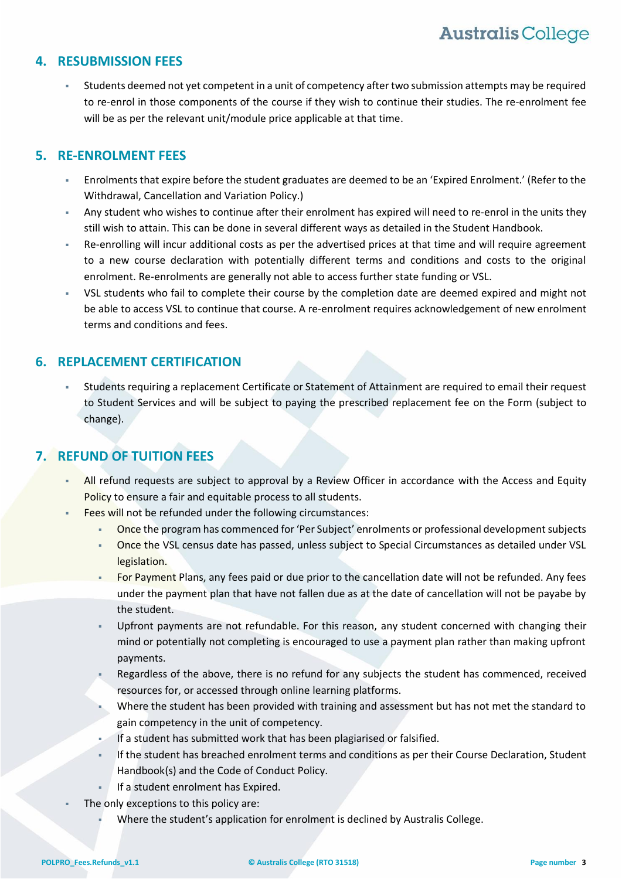## **4. RESUBMISSION FEES**

Students deemed not yet competent in a unit of competency after two submission attempts may be required to re-enrol in those components of the course if they wish to continue their studies. The re-enrolment fee will be as per the relevant unit/module price applicable at that time.

## **5. RE-ENROLMENT FEES**

- Enrolments that expire before the student graduates are deemed to be an 'Expired Enrolment.' (Refer to the Withdrawal, Cancellation and Variation Policy.)
- Any student who wishes to continue after their enrolment has expired will need to re-enrol in the units they still wish to attain. This can be done in several different ways as detailed in the Student Handbook.
- Re-enrolling will incur additional costs as per the advertised prices at that time and will require agreement to a new course declaration with potentially different terms and conditions and costs to the original enrolment. Re-enrolments are generally not able to access further state funding or VSL.
- VSL students who fail to complete their course by the completion date are deemed expired and might not be able to access VSL to continue that course. A re-enrolment requires acknowledgement of new enrolment terms and conditions and fees.

## **6. REPLACEMENT CERTIFICATION**

Students requiring a replacement Certificate or Statement of Attainment are required to email their request to Student Services and will be subject to paying the prescribed replacement fee on the Form (subject to change).

## <span id="page-2-0"></span>**7. REFUND OF TUITION FEES**

- All refund requests are subject to approval by a Review Officer in accordance with the Access and Equity Policy to ensure a fair and equitable process to all students.
- Fees will not be refunded under the following circumstances:
	- Once the program has commenced for 'Per Subject' enrolments or professional development subjects
	- Once the VSL census date has passed, unless subject to Special Circumstances as detailed under VSL legislation.
	- For Payment Plans, any fees paid or due prior to the cancellation date will not be refunded. Any fees under the payment plan that have not fallen due as at the date of cancellation will not be payabe by the student.
	- Upfront payments are not refundable. For this reason, any student concerned with changing their mind or potentially not completing is encouraged to use a payment plan rather than making upfront payments.
	- Regardless of the above, there is no refund for any subjects the student has commenced, received resources for, or accessed through online learning platforms.
	- Where the student has been provided with training and assessment but has not met the standard to gain competency in the unit of competency.
	- If a student has submitted work that has been plagiarised or falsified.
	- If the student has breached enrolment terms and conditions as per their Course Declaration, Student Handbook(s) and the Code of Conduct Policy.
	- If a student enrolment has Expired.
	- The only exceptions to this policy are:
		- Where the student's application for enrolment is declined by Australis College.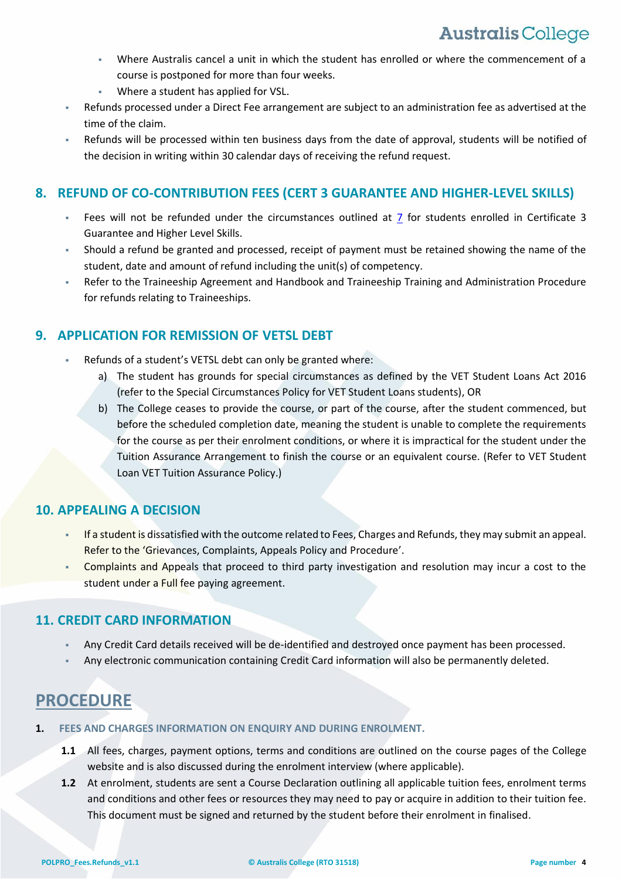- Where Australis cancel a unit in which the student has enrolled or where the commencement of a course is postponed for more than four weeks.
- Where a student has applied for VSL.
- Refunds processed under a Direct Fee arrangement are subject to an administration fee as advertised at the time of the claim.
- Refunds will be processed within ten business days from the date of approval, students will be notified of the decision in writing within 30 calendar days of receiving the refund request.

## **8. REFUND OF CO-CONTRIBUTION FEES (CERT 3 GUARANTEE AND HIGHER-LEVEL SKILLS)**

- Fees will not be refunded under the circumstances outlined at  $\overline{2}$  for students enrolled in Certificate 3 Guarantee and Higher Level Skills.
- Should a refund be granted and processed, receipt of payment must be retained showing the name of the student, date and amount of refund including the unit(s) of competency.
- Refer to the Traineeship Agreement and Handbook and Traineeship Training and Administration Procedure for refunds relating to Traineeships.

## **9. APPLICATION FOR REMISSION OF VETSL DEBT**

- Refunds of a student's VETSL debt can only be granted where:
	- a) The student has grounds for special circumstances as defined by the VET Student Loans Act 2016 (refer to the Special Circumstances Policy for VET Student Loans students), OR
	- b) The College ceases to provide the course, or part of the course, after the student commenced, but before the scheduled completion date, meaning the student is unable to complete the requirements for the course as per their enrolment conditions, or where it is impractical for the student under the Tuition Assurance Arrangement to finish the course or an equivalent course. (Refer to VET Student Loan VET Tuition Assurance Policy.)

## **10. APPEALING A DECISION**

- If a student is dissatisfied with the outcome related to Fees, Charges and Refunds, they may submit an appeal. Refer to the 'Grievances, Complaints, Appeals Policy and Procedure'.
- Complaints and Appeals that proceed to third party investigation and resolution may incur a cost to the student under a Full fee paying agreement.

## **11. CREDIT CARD INFORMATION**

- Any Credit Card details received will be de-identified and destroyed once payment has been processed.
- Any electronic communication containing Credit Card information will also be permanently deleted.

## **PROCEDURE**

- **1. FEES AND CHARGES INFORMATION ON ENQUIRY AND DURING ENROLMENT.**
	- **1.1** All fees, charges, payment options, terms and conditions are outlined on the course pages of the College website and is also discussed during the enrolment interview (where applicable).
	- **1.2** At enrolment, students are sent a Course Declaration outlining all applicable tuition fees, enrolment terms and conditions and other fees or resources they may need to pay or acquire in addition to their tuition fee. This document must be signed and returned by the student before their enrolment in finalised.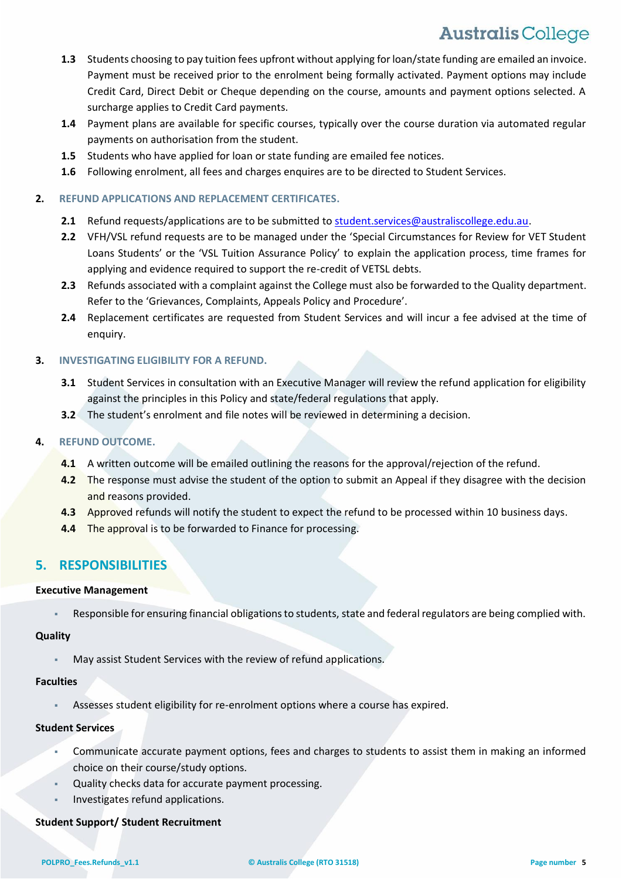# **Australis College**

- **1.3** Students choosing to pay tuition fees upfront without applying for loan/state funding are emailed an invoice. Payment must be received prior to the enrolment being formally activated. Payment options may include Credit Card, Direct Debit or Cheque depending on the course, amounts and payment options selected. A surcharge applies to Credit Card payments.
- **1.4** Payment plans are available for specific courses, typically over the course duration via automated regular payments on authorisation from the student.
- **1.5** Students who have applied for loan or state funding are emailed fee notices.
- **1.6** Following enrolment, all fees and charges enquires are to be directed to Student Services.

### **2. REFUND APPLICATIONS AND REPLACEMENT CERTIFICATES.**

- 2.1 Refund requests/applications are to be submitted t[o student.services@australiscollege.edu.au.](mailto:student.services@australiscollege.edu.au)
- **2.2** VFH/VSL refund requests are to be managed under the 'Special Circumstances for Review for VET Student Loans Students' or the 'VSL Tuition Assurance Policy' to explain the application process, time frames for applying and evidence required to support the re-credit of VETSL debts.
- **2.3** Refunds associated with a complaint against the College must also be forwarded to the Quality department. Refer to the 'Grievances, Complaints, Appeals Policy and Procedure'.
- **2.4** Replacement certificates are requested from Student Services and will incur a fee advised at the time of enquiry.

## **3. INVESTIGATING ELIGIBILITY FOR A REFUND.**

- **3.1** Student Services in consultation with an Executive Manager will review the refund application for eligibility against the principles in this Policy and state/federal regulations that apply.
- **3.2** The student's enrolment and file notes will be reviewed in determining a decision.

### **4. REFUND OUTCOME.**

- **4.1** A written outcome will be emailed outlining the reasons for the approval/rejection of the refund.
- **4.2** The response must advise the student of the option to submit an Appeal if they disagree with the decision and reasons provided.
- **4.3** Approved refunds will notify the student to expect the refund to be processed within 10 business days.
- **4.4** The approval is to be forwarded to Finance for processing.

## **5. RESPONSIBILITIES**

#### **Executive Management**

Responsible for ensuring financial obligations to students, state and federal regulators are being complied with.

#### **Quality**

May assist Student Services with the review of refund applications.

#### **Faculties**

Assesses student eligibility for re-enrolment options where a course has expired.

### **Student Services**

- Communicate accurate payment options, fees and charges to students to assist them in making an informed choice on their course/study options.
- Quality checks data for accurate payment processing.
- Investigates refund applications.

### **Student Support/ Student Recruitment**